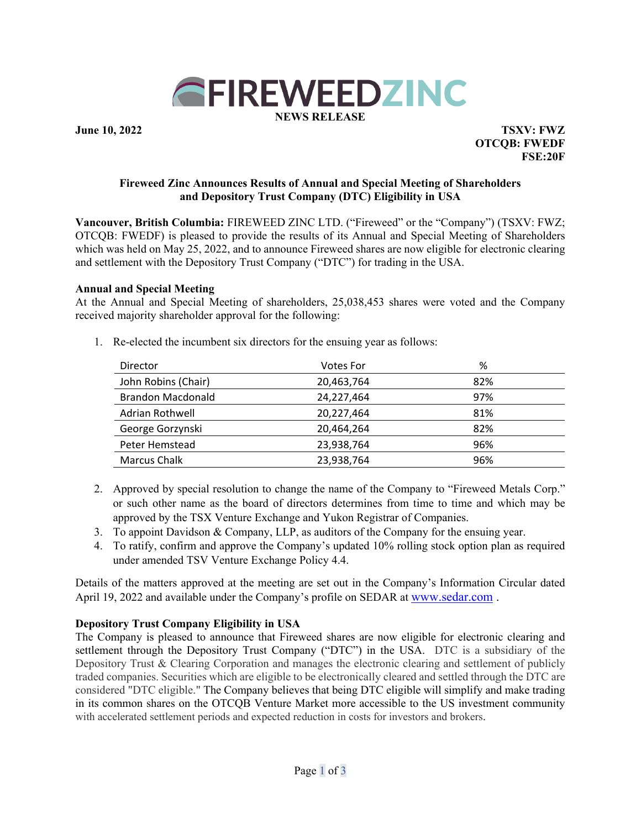

**June 10, 2022 TSXV: FWZ OTCQB: FWEDF FSE:20F** 

### **Fireweed Zinc Announces Results of Annual and Special Meeting of Shareholders and Depository Trust Company (DTC) Eligibility in USA**

**Vancouver, British Columbia:** FIREWEED ZINC LTD. ("Fireweed" or the "Company") (TSXV: FWZ; OTCQB: FWEDF) is pleased to provide the results of its Annual and Special Meeting of Shareholders which was held on May 25, 2022, and to announce Fireweed shares are now eligible for electronic clearing and settlement with the Depository Trust Company ("DTC") for trading in the USA.

### **Annual and Special Meeting**

At the Annual and Special Meeting of shareholders, 25,038,453 shares were voted and the Company received majority shareholder approval for the following:

- Director Votes For % John Robins (Chair) 20,463,764 82% Brandon Macdonald 24,227,464 97% Adrian Rothwell 20,227,464 81% George Gorzynski 1980 120,464,264 82% Peter Hemstead 23,938,764 96% Marcus Chalk 23,938,764 96%
- 1. Re-elected the incumbent six directors for the ensuing year as follows:

- 2. Approved by special resolution to change the name of the Company to "Fireweed Metals Corp." or such other name as the board of directors determines from time to time and which may be approved by the TSX Venture Exchange and Yukon Registrar of Companies.
- 3. To appoint Davidson & Company, LLP, as auditors of the Company for the ensuing year.
- 4. To ratify, confirm and approve the Company's updated 10% rolling stock option plan as required under amended TSV Venture Exchange Policy 4.4.

Details of the matters approved at the meeting are set out in the Company's Information Circular dated April 19, 2022 and available under the Company's profile on SEDAR at www.sedar.com .

## **Depository Trust Company Eligibility in USA**

The Company is pleased to announce that Fireweed shares are now eligible for electronic clearing and settlement through the Depository Trust Company ("DTC") in the USA. DTC is a subsidiary of the Depository Trust & Clearing Corporation and manages the electronic clearing and settlement of publicly traded companies. Securities which are eligible to be electronically cleared and settled through the DTC are considered "DTC eligible." The Company believes that being DTC eligible will simplify and make trading in its common shares on the OTCQB Venture Market more accessible to the US investment community with accelerated settlement periods and expected reduction in costs for investors and brokers.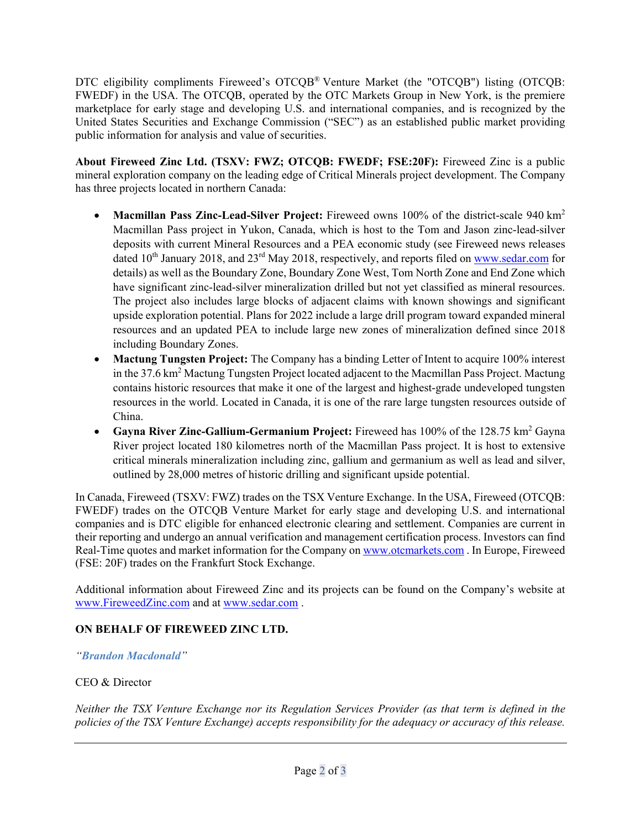DTC eligibility compliments Fireweed's OTCQB® Venture Market (the "OTCQB") listing (OTCQB: FWEDF) in the USA. The OTCQB, operated by the OTC Markets Group in New York, is the premiere marketplace for early stage and developing U.S. and international companies, and is recognized by the United States Securities and Exchange Commission ("SEC") as an established public market providing public information for analysis and value of securities.

**About Fireweed Zinc Ltd. (TSXV: FWZ; OTCQB: FWEDF; FSE:20F):** Fireweed Zinc is a public mineral exploration company on the leading edge of Critical Minerals project development. The Company has three projects located in northern Canada:

- **Macmillan Pass Zinc-Lead-Silver Project:** Fireweed owns 100% of the district-scale 940 km<sup>2</sup> Macmillan Pass project in Yukon, Canada, which is host to the Tom and Jason zinc-lead-silver deposits with current Mineral Resources and a PEA economic study (see Fireweed news releases dated 10<sup>th</sup> January 2018, and 23<sup>rd</sup> May 2018, respectively, and reports filed on www.sedar.com for details) as well as the Boundary Zone, Boundary Zone West, Tom North Zone and End Zone which have significant zinc-lead-silver mineralization drilled but not yet classified as mineral resources. The project also includes large blocks of adjacent claims with known showings and significant upside exploration potential. Plans for 2022 include a large drill program toward expanded mineral resources and an updated PEA to include large new zones of mineralization defined since 2018 including Boundary Zones.
- **Mactung Tungsten Project:** The Company has a binding Letter of Intent to acquire 100% interest in the 37.6 km<sup>2</sup> Mactung Tungsten Project located adjacent to the Macmillan Pass Project. Mactung contains historic resources that make it one of the largest and highest-grade undeveloped tungsten resources in the world. Located in Canada, it is one of the rare large tungsten resources outside of China.
- **Gayna River Zinc-Gallium-Germanium Project:** Fireweed has 100% of the 128.75 km2 Gayna River project located 180 kilometres north of the Macmillan Pass project. It is host to extensive critical minerals mineralization including zinc, gallium and germanium as well as lead and silver, outlined by 28,000 metres of historic drilling and significant upside potential.

In Canada, Fireweed (TSXV: FWZ) trades on the TSX Venture Exchange. In the USA, Fireweed (OTCQB: FWEDF) trades on the OTCQB Venture Market for early stage and developing U.S. and international companies and is DTC eligible for enhanced electronic clearing and settlement. Companies are current in their reporting and undergo an annual verification and management certification process. Investors can find Real-Time quotes and market information for the Company on www.otcmarkets.com . In Europe, Fireweed (FSE: 20F) trades on the Frankfurt Stock Exchange.

Additional information about Fireweed Zinc and its projects can be found on the Company's website at www.FireweedZinc.com and at www.sedar.com .

# **ON BEHALF OF FIREWEED ZINC LTD.**

## *"Brandon Macdonald"*

## CEO & Director

*Neither the TSX Venture Exchange nor its Regulation Services Provider (as that term is defined in the policies of the TSX Venture Exchange) accepts responsibility for the adequacy or accuracy of this release.*